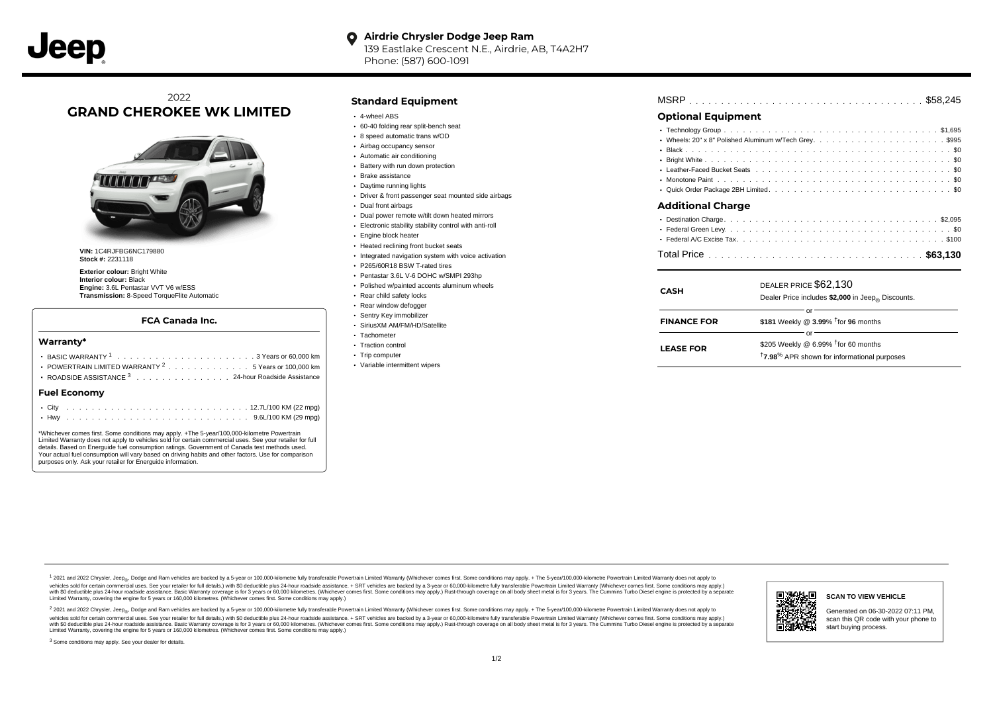#### **Airdrie Chrysler Dodge Jeep Ram**  $\bullet$ 139 Eastlake Crescent N.E., Airdrie, AB, T4A2H7 Phone: (587) 600-1091

# 2022 **GRAND CHEROKEE WK LIMITED**



**VIN:** 1C4RJFBG6NC179880 **Stock #:** 2231118

**Exterior colour:** Bright White **Interior colour:** Black **Engine:** 3.6L Pentastar VVT V6 w/ESS **Transmission:** 8-Speed TorqueFlite Automatic

#### **FCA Canada Inc.**

#### **Warranty\***

| .3 Years or 60.000 km<br>POWERTRAIN LIMITED WARRANTY 25 Years or 100,000 km<br>ROADSIDE ASSISTANCE 3 24-hour Roadside Assistance | Trip computer<br>• Variable intermittent wipers | LEASE FUR | <sup>†</sup> 7.98 <sup>%</sup> APR shown for informational purposes |
|----------------------------------------------------------------------------------------------------------------------------------|-------------------------------------------------|-----------|---------------------------------------------------------------------|
| Fuel Economy                                                                                                                     |                                                 |           |                                                                     |

\*Whichever comes first. Some conditions may apply. +The 5-year/100,000-kilometre Powertrain Limited Warranty does not apply to vehicles sold for certain commercial uses. See your retailer for full details. Based on Energuide fuel consumption ratings. Government of Canada test methods used. Your actual fuel consumption will vary based on driving habits and other factors. Use for comparison purposes only. Ask your retailer for Energuide information.

### **Standard Equipment**

- 4-wheel ABS
- 60-40 folding rear split-bench seat
- 8 speed automatic trans w/OD
- Airbag occupancy sensor
- Automatic air conditioning
- Battery with run down protection
- Brake assistance
- Daytime running lights
- Driver & front passenger seat mounted side airbags
- Dual front airbags
- Dual power remote w/tilt down heated mirrors
- Electronic stability stability control with anti-roll
- Engine block heater
- Heated reclining front bucket seats
- Integrated navigation system with voice activation
- P265/60R18 BSW T-rated tires
- Pentastar 3.6L V-6 DOHC w/SMPI 293hp
- Polished w/painted accents aluminum wheels
- Rear child safety locks
- Rear window defogger
- Sentry Key immobilizer
- SiriusXM AM/FM/HD/Satellite
- Tachometer • Traction control
- 
- Trip computer
- Variable intermittent wipers

| <b>MSRP</b> |  |  |  |  |  |  |  |  |  |  |  |  |  |  |  |  |  |  |  |  |  |  |  |  |  |  |  |  |  |  |  |  |  |  |  |  |  |  |  |
|-------------|--|--|--|--|--|--|--|--|--|--|--|--|--|--|--|--|--|--|--|--|--|--|--|--|--|--|--|--|--|--|--|--|--|--|--|--|--|--|--|
|-------------|--|--|--|--|--|--|--|--|--|--|--|--|--|--|--|--|--|--|--|--|--|--|--|--|--|--|--|--|--|--|--|--|--|--|--|--|--|--|--|

## **Optional Equipment**

| <b>Additional Charge</b>                                                                                        |  |
|-----------------------------------------------------------------------------------------------------------------|--|
|                                                                                                                 |  |
|                                                                                                                 |  |
| the contract of the contract of the contract of the contract of the contract of the contract of the contract of |  |

| <b>CASH</b>        | DEALER PRICE \$62,130<br>Dealer Price includes \$2,000 in Jeep <sub>®</sub> Discounts.                              |
|--------------------|---------------------------------------------------------------------------------------------------------------------|
| <b>FINANCE FOR</b> | Ωľ<br>\$181 Weekly @ $3.99\%$ <sup>†</sup> for 96 months                                                            |
| <b>LEASE FOR</b>   | Ωľ<br>\$205 Weekly @ 6.99% $†$ for 60 months<br><sup>†</sup> 7.98 <sup>%</sup> APR shown for informational purposes |

1 2021 and 2022 Chrysler, Jeep<sub>en</sub> Dodge and Ram vehicles are backed by a 5-year or 100,000-kilometre fully transferable Powertrain Limited Warranty (Whichever comes first. Some conditions may apply. + The 5-year/100,000-k vehicles sold for certain commercial uses. See your retailer for full details.) with \$0 deductible plus 24-hour roadside assistance. + SRT vehicles are backed by a 3-year or 60,000-kilometre fully transferable Powertrain L versus and contract the mean of the contract of the contract with a contract with a contract the contract of the search of the contract and a control of the contract and contract and control of the search of the search of Limited Warranty, covering the engine for 5 years or 160,000 kilometres. (Whichever comes first. Some conditions may apply.)

<sup>2</sup> 2021 and 2022 Chrysler, Jeep<sub>®</sub>, Dodge and Ram vehicles are backed by a 5-year or 100,000-kilometre fully transferable Powertrain Limited Warranty (Whichever comes first. Some conditions may apply. + The 5-year/100,000 vehicles sold for certain commercial uses. See your retailer for full details.) with SO deductible plus 24-hour roadside assistance. + SRT vehicles are backed by a 3-year or 60.000-kilometre fully transferable Powertrain L with S0 deductible plus 24-hour roadside assistance. Basic Warranty coverage is for 3 years or 60,000 kilometres. (Whichever comes first. Some conditions may apply.) Rust-through coverage on all body sheet metal is for 3 y



Generated on 06-30-2022 07:11 PM, scan this QR code with your phone to start buying process.

<sup>3</sup> Some conditions may apply. See your dealer for details.